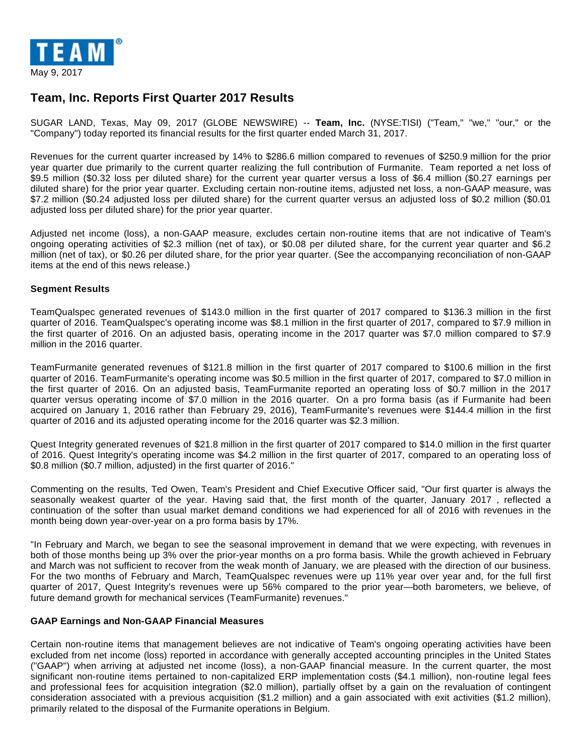

# **Team, Inc. Reports First Quarter 2017 Results**

SUGAR LAND, Texas, May 09, 2017 (GLOBE NEWSWIRE) -- **Team, Inc.** (NYSE:TISI) ("Team," "we," "our," or the "Company") today reported its financial results for the first quarter ended March 31, 2017.

Revenues for the current quarter increased by 14% to \$286.6 million compared to revenues of \$250.9 million for the prior year quarter due primarily to the current quarter realizing the full contribution of Furmanite. Team reported a net loss of \$9.5 million (\$0.32 loss per diluted share) for the current year quarter versus a loss of \$6.4 million (\$0.27 earnings per diluted share) for the prior year quarter. Excluding certain non-routine items, adjusted net loss, a non-GAAP measure, was \$7.2 million (\$0.24 adjusted loss per diluted share) for the current quarter versus an adjusted loss of \$0.2 million (\$0.01 adjusted loss per diluted share) for the prior year quarter.

Adjusted net income (loss), a non-GAAP measure, excludes certain non-routine items that are not indicative of Team's ongoing operating activities of \$2.3 million (net of tax), or \$0.08 per diluted share, for the current year quarter and \$6.2 million (net of tax), or \$0.26 per diluted share, for the prior year quarter. (See the accompanying reconciliation of non-GAAP items at the end of this news release.)

#### **Segment Results**

TeamQualspec generated revenues of \$143.0 million in the first quarter of 2017 compared to \$136.3 million in the first quarter of 2016. TeamQualspec's operating income was \$8.1 million in the first quarter of 2017, compared to \$7.9 million in the first quarter of 2016. On an adjusted basis, operating income in the 2017 quarter was \$7.0 million compared to \$7.9 million in the 2016 quarter.

TeamFurmanite generated revenues of \$121.8 million in the first quarter of 2017 compared to \$100.6 million in the first quarter of 2016. TeamFurmanite's operating income was \$0.5 million in the first quarter of 2017, compared to \$7.0 million in the first quarter of 2016. On an adjusted basis, TeamFurmanite reported an operating loss of \$0.7 million in the 2017 quarter versus operating income of \$7.0 million in the 2016 quarter. On a pro forma basis (as if Furmanite had been acquired on January 1, 2016 rather than February 29, 2016), TeamFurmanite's revenues were \$144.4 million in the first quarter of 2016 and its adjusted operating income for the 2016 quarter was \$2.3 million.

Quest Integrity generated revenues of \$21.8 million in the first quarter of 2017 compared to \$14.0 million in the first quarter of 2016. Quest Integrity's operating income was \$4.2 million in the first quarter of 2017, compared to an operating loss of \$0.8 million (\$0.7 million, adjusted) in the first quarter of 2016."

Commenting on the results, Ted Owen, Team's President and Chief Executive Officer said, "Our first quarter is always the seasonally weakest quarter of the year. Having said that, the first month of the quarter, January 2017 , reflected a continuation of the softer than usual market demand conditions we had experienced for all of 2016 with revenues in the month being down year-over-year on a pro forma basis by 17%.

"In February and March, we began to see the seasonal improvement in demand that we were expecting, with revenues in both of those months being up 3% over the prior-year months on a pro forma basis. While the growth achieved in February and March was not sufficient to recover from the weak month of January, we are pleased with the direction of our business. For the two months of February and March, TeamQualspec revenues were up 11% year over year and, for the full first quarter of 2017, Quest Integrity's revenues were up 56% compared to the prior year—both barometers, we believe, of future demand growth for mechanical services (TeamFurmanite) revenues."

#### **GAAP Earnings and Non-GAAP Financial Measures**

Certain non-routine items that management believes are not indicative of Team's ongoing operating activities have been excluded from net income (loss) reported in accordance with generally accepted accounting principles in the United States ("GAAP") when arriving at adjusted net income (loss), a non-GAAP financial measure. In the current quarter, the most significant non-routine items pertained to non-capitalized ERP implementation costs (\$4.1 million), non-routine legal fees and professional fees for acquisition integration (\$2.0 million), partially offset by a gain on the revaluation of contingent consideration associated with a previous acquisition (\$1.2 million) and a gain associated with exit activities (\$1.2 million), primarily related to the disposal of the Furmanite operations in Belgium.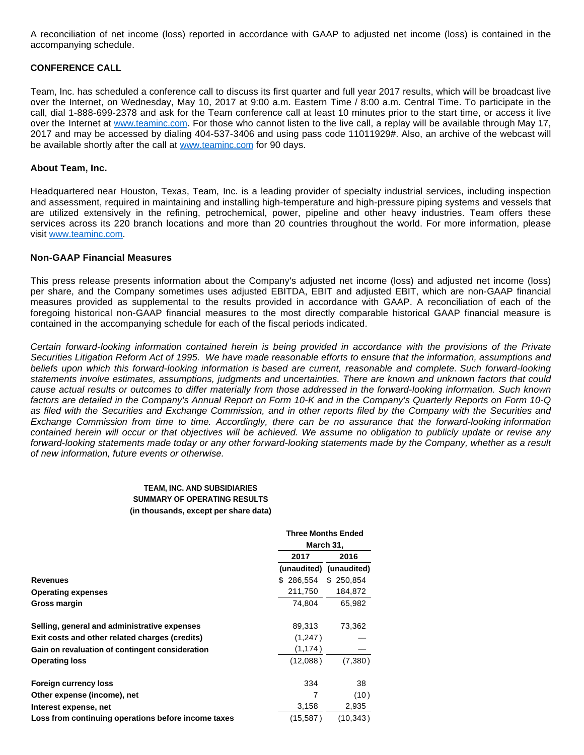A reconciliation of net income (loss) reported in accordance with GAAP to adjusted net income (loss) is contained in the accompanying schedule.

#### **CONFERENCE CALL**

Team, Inc. has scheduled a conference call to discuss its first quarter and full year 2017 results, which will be broadcast live over the Internet, on Wednesday, May 10, 2017 at 9:00 a.m. Eastern Time / 8:00 a.m. Central Time. To participate in the call, dial 1-888-699-2378 and ask for the Team conference call at least 10 minutes prior to the start time, or access it live over the Internet at [www.teaminc.com](https://www.globenewswire.com/Tracker?data=c4eVJxsCwo9DATCD99uQ7WrHeyG60omxsgJL77V89DUVmideoShUPwxoe0OyDscg5dHolgODxGO82tnBu17qSg==). For those who cannot listen to the live call, a replay will be available through May 17, 2017 and may be accessed by dialing 404-537-3406 and using pass code 11011929#. Also, an archive of the webcast will be available shortly after the call at [www.teaminc.com](https://www.globenewswire.com/Tracker?data=c4eVJxsCwo9DATCD99uQ7d1srwHrJ6kdJJ4RWisDnQSvejI2IMVcfk1DPM5mSYlGOXZYZAgLF3P4Kpi2Ws2tmQ==) for 90 days.

#### **About Team, Inc.**

Headquartered near Houston, Texas, Team, Inc. is a leading provider of specialty industrial services, including inspection and assessment, required in maintaining and installing high-temperature and high-pressure piping systems and vessels that are utilized extensively in the refining, petrochemical, power, pipeline and other heavy industries. Team offers these services across its 220 branch locations and more than 20 countries throughout the world. For more information, please visit [www.teaminc.com.](https://www.globenewswire.com/Tracker?data=c4eVJxsCwo9DATCD99uQ7cV0JqzDapDGw3d_LvrGx6Dy7dtDUO3JXQ1aP23eBwgAE3wzpU0umdhgG5oC5fU4qg==)

#### **Non-GAAP Financial Measures**

This press release presents information about the Company's adjusted net income (loss) and adjusted net income (loss) per share, and the Company sometimes uses adjusted EBITDA, EBIT and adjusted EBIT, which are non-GAAP financial measures provided as supplemental to the results provided in accordance with GAAP. A reconciliation of each of the foregoing historical non-GAAP financial measures to the most directly comparable historical GAAP financial measure is contained in the accompanying schedule for each of the fiscal periods indicated.

Certain forward-looking information contained herein is being provided in accordance with the provisions of the Private Securities Litigation Reform Act of 1995. We have made reasonable efforts to ensure that the information, assumptions and beliefs upon which this forward-looking information is based are current, reasonable and complete. Such forward-looking statements involve estimates, assumptions, judgments and uncertainties. There are known and unknown factors that could cause actual results or outcomes to differ materially from those addressed in the forward-looking information. Such known factors are detailed in the Company's Annual Report on Form 10-K and in the Company's Quarterly Reports on Form 10-Q as filed with the Securities and Exchange Commission, and in other reports filed by the Company with the Securities and Exchange Commission from time to time. Accordingly, there can be no assurance that the forward-looking information contained herein will occur or that objectives will be achieved. We assume no obligation to publicly update or revise any forward-looking statements made today or any other forward-looking statements made by the Company, whether as a result of new information, future events or otherwise.

#### **TEAM, INC. AND SUBSIDIARIES SUMMARY OF OPERATING RESULTS (in thousands, except per share data)**

|                                                     |           | <b>Three Months Ended</b> |
|-----------------------------------------------------|-----------|---------------------------|
|                                                     |           | March 31,                 |
|                                                     | 2017      | 2016                      |
|                                                     |           | (unaudited) (unaudited)   |
| Revenues                                            | \$286,554 | \$250,854                 |
| <b>Operating expenses</b>                           | 211,750   | 184,872                   |
| Gross margin                                        | 74,804    | 65,982                    |
| Selling, general and administrative expenses        | 89,313    | 73,362                    |
| Exit costs and other related charges (credits)      | (1,247)   |                           |
| Gain on revaluation of contingent consideration     | (1, 174)  |                           |
| <b>Operating loss</b>                               | (12,088)  | (7,380)                   |
| Foreign currency loss                               | 334       | 38                        |
| Other expense (income), net                         |           | (10)                      |
| Interest expense, net                               | 3,158     | 2,935                     |
| Loss from continuing operations before income taxes | (15, 587) | (10, 343)                 |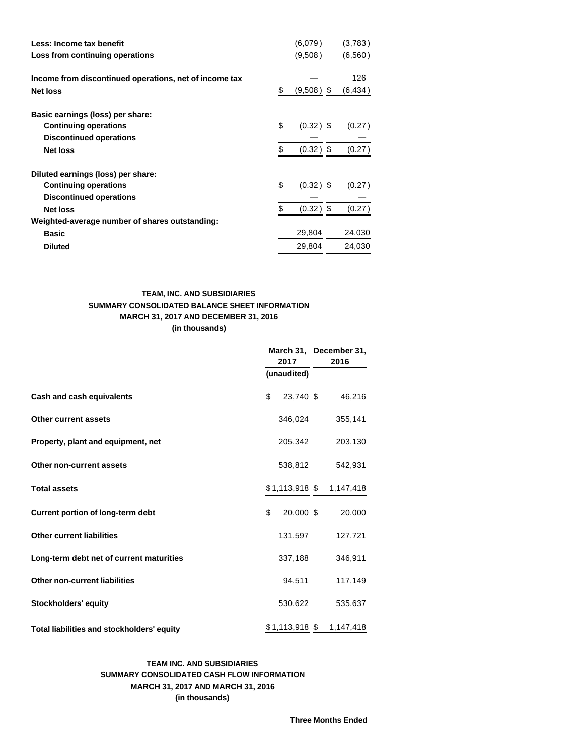| Less: Income tax benefit                               | (6,079)            | (3,783)  |
|--------------------------------------------------------|--------------------|----------|
| Loss from continuing operations                        | (9,508)            | (6,560)  |
|                                                        |                    |          |
| Income from discontinued operations, net of income tax |                    | 126      |
| <b>Net loss</b>                                        | \$<br>$(9,508)$ \$ | (6, 434) |
| Basic earnings (loss) per share:                       |                    |          |
| <b>Continuing operations</b>                           | \$<br>$(0.32)$ \$  | (0.27)   |
| <b>Discontinued operations</b>                         |                    |          |
|                                                        | \$                 |          |
| <b>Net loss</b>                                        | $(0.32)$ \$        | (0.27)   |
| Diluted earnings (loss) per share:                     |                    |          |
| <b>Continuing operations</b>                           | \$<br>$(0.32)$ \$  | (0.27)   |
| <b>Discontinued operations</b>                         |                    |          |
| <b>Net loss</b>                                        | \$<br>$(0.32)$ \$  | (0.27)   |
| Weighted-average number of shares outstanding:         |                    |          |
| <b>Basic</b>                                           | 29,804             | 24,030   |
| <b>Diluted</b>                                         | 29,804             | 24,030   |

### **TEAM, INC. AND SUBSIDIARIES SUMMARY CONSOLIDATED BALANCE SHEET INFORMATION MARCH 31, 2017 AND DECEMBER 31, 2016 (in thousands)**

|                                            | 2017 |             | March 31, December 31,<br>2016 |         |  |
|--------------------------------------------|------|-------------|--------------------------------|---------|--|
|                                            |      | (unaudited) |                                |         |  |
| Cash and cash equivalents                  | \$   | 23,740 \$   |                                | 46,216  |  |
| <b>Other current assets</b>                |      | 346,024     |                                | 355,141 |  |
| Property, plant and equipment, net         |      | 205,342     |                                | 203,130 |  |
| Other non-current assets                   |      | 538,812     |                                | 542,931 |  |
| <b>Total assets</b>                        |      |             | $$1,113,918$ \$ 1,147,418      |         |  |
| <b>Current portion of long-term debt</b>   | \$   | 20,000 \$   |                                | 20,000  |  |
| <b>Other current liabilities</b>           |      | 131,597     |                                | 127,721 |  |
| Long-term debt net of current maturities   |      | 337,188     |                                | 346,911 |  |
| <b>Other non-current liabilities</b>       |      | 94,511      |                                | 117,149 |  |
| Stockholders' equity                       |      | 530,622     |                                | 535,637 |  |
| Total liabilities and stockholders' equity |      |             | $$1,113,918$ \$ 1,147,418      |         |  |

## **TEAM INC. AND SUBSIDIARIES SUMMARY CONSOLIDATED CASH FLOW INFORMATION MARCH 31, 2017 AND MARCH 31, 2016 (in thousands)**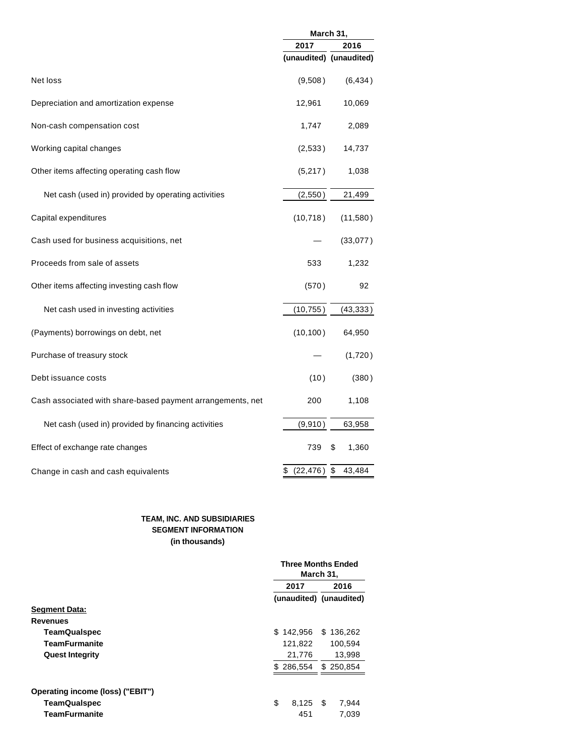|                                                            | March 31,       |                         |  |  |
|------------------------------------------------------------|-----------------|-------------------------|--|--|
|                                                            | 2017            | 2016                    |  |  |
|                                                            |                 | (unaudited) (unaudited) |  |  |
| Net loss                                                   | (9,508)         | (6, 434)                |  |  |
| Depreciation and amortization expense                      | 12,961          | 10,069                  |  |  |
| Non-cash compensation cost                                 | 1,747           | 2,089                   |  |  |
| Working capital changes                                    | (2,533)         | 14,737                  |  |  |
| Other items affecting operating cash flow                  | (5,217)         | 1,038                   |  |  |
| Net cash (used in) provided by operating activities        | (2,550)         | 21,499                  |  |  |
| Capital expenditures                                       | (10, 718)       | (11,580)                |  |  |
| Cash used for business acquisitions, net                   |                 | (33,077)                |  |  |
| Proceeds from sale of assets                               | 533             | 1,232                   |  |  |
| Other items affecting investing cash flow                  | (570)           | 92                      |  |  |
| Net cash used in investing activities                      | (10, 755)       | (43, 333)               |  |  |
| (Payments) borrowings on debt, net                         | (10, 100)       | 64,950                  |  |  |
| Purchase of treasury stock                                 |                 | (1,720)                 |  |  |
| Debt issuance costs                                        | (10)            | (380)                   |  |  |
| Cash associated with share-based payment arrangements, net | 200             | 1,108                   |  |  |
| Net cash (used in) provided by financing activities        | (9,910)         | 63,958                  |  |  |
| Effect of exchange rate changes                            | 739             | \$<br>1,360             |  |  |
| Change in cash and cash equivalents                        | \$ (22, 476) \$ | 43,484                  |  |  |

### **TEAM, INC. AND SUBSIDIARIES SEGMENT INFORMATION (in thousands)**

|                                  |                | <b>Three Months Ended</b><br>March 31, |  |  |  |
|----------------------------------|----------------|----------------------------------------|--|--|--|
|                                  | 2017           | 2016                                   |  |  |  |
|                                  |                | (unaudited) (unaudited)                |  |  |  |
| <b>Segment Data:</b>             |                |                                        |  |  |  |
| <b>Revenues</b>                  |                |                                        |  |  |  |
| <b>TeamQualspec</b>              | 142,956<br>\$. | \$136,262                              |  |  |  |
| <b>TeamFurmanite</b>             | 121,822        | 100,594                                |  |  |  |
| <b>Quest Integrity</b>           | 21,776         | 13,998                                 |  |  |  |
|                                  | \$286,554      | \$250.854                              |  |  |  |
| Operating income (loss) ("EBIT") |                |                                        |  |  |  |
| <b>TeamQualspec</b>              | \$<br>8.125    | - \$<br>7,944                          |  |  |  |
| <b>TeamFurmanite</b>             | 451            | 7,039                                  |  |  |  |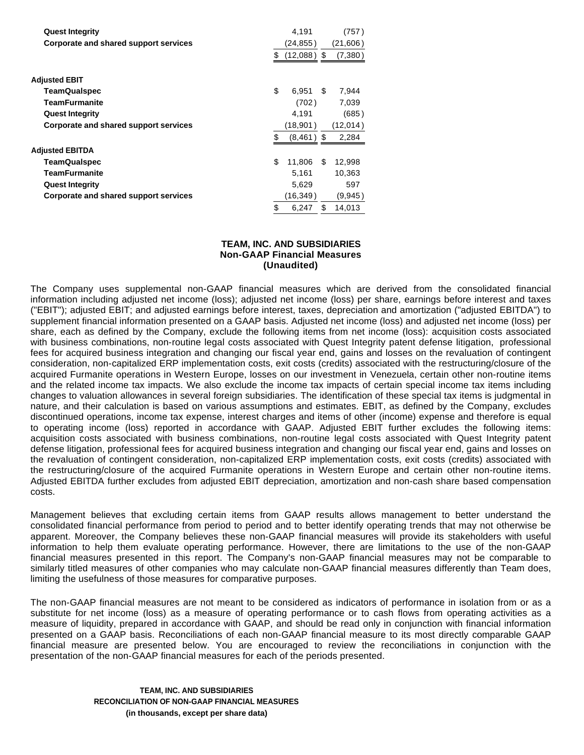| <b>Quest Integrity</b>                |     | 4.191         |     | (757)    |
|---------------------------------------|-----|---------------|-----|----------|
| Corporate and shared support services |     | (24, 855)     |     | (21,606) |
|                                       | \$  | $(12,088)$ \$ |     | (7, 380) |
| Adjusted EBIT                         |     |               |     |          |
| <b>TeamQualspec</b>                   | \$  | 6.951         | S   | 7,944    |
| <b>TeamFurmanite</b>                  |     | (702)         |     | 7,039    |
| <b>Quest Integrity</b>                |     | 4.191         |     | (685)    |
| Corporate and shared support services |     | (18,901)      |     | (12,014) |
|                                       | \$. | (8,461)       | \$. | 2,284    |
| Adjusted EBITDA                       |     |               |     |          |
| <b>TeamQualspec</b>                   | \$  | 11,806        | \$  | 12,998   |
| <b>TeamFurmanite</b>                  |     | 5.161         |     | 10,363   |
| <b>Quest Integrity</b>                |     | 5,629         |     | 597      |
| Corporate and shared support services |     | (16,349)      |     | (9,945)  |
|                                       | \$  | 6.247         | \$  | 14,013   |

### **TEAM, INC. AND SUBSIDIARIES Non-GAAP Financial Measures (Unaudited)**

The Company uses supplemental non-GAAP financial measures which are derived from the consolidated financial information including adjusted net income (loss); adjusted net income (loss) per share, earnings before interest and taxes ("EBIT"); adjusted EBIT; and adjusted earnings before interest, taxes, depreciation and amortization ("adjusted EBITDA") to supplement financial information presented on a GAAP basis. Adjusted net income (loss) and adjusted net income (loss) per share, each as defined by the Company, exclude the following items from net income (loss): acquisition costs associated with business combinations, non-routine legal costs associated with Quest Integrity patent defense litigation, professional fees for acquired business integration and changing our fiscal year end, gains and losses on the revaluation of contingent consideration, non-capitalized ERP implementation costs, exit costs (credits) associated with the restructuring/closure of the acquired Furmanite operations in Western Europe, losses on our investment in Venezuela, certain other non-routine items and the related income tax impacts. We also exclude the income tax impacts of certain special income tax items including changes to valuation allowances in several foreign subsidiaries. The identification of these special tax items is judgmental in nature, and their calculation is based on various assumptions and estimates. EBIT, as defined by the Company, excludes discontinued operations, income tax expense, interest charges and items of other (income) expense and therefore is equal to operating income (loss) reported in accordance with GAAP. Adjusted EBIT further excludes the following items: acquisition costs associated with business combinations, non-routine legal costs associated with Quest Integrity patent defense litigation, professional fees for acquired business integration and changing our fiscal year end, gains and losses on the revaluation of contingent consideration, non-capitalized ERP implementation costs, exit costs (credits) associated with the restructuring/closure of the acquired Furmanite operations in Western Europe and certain other non-routine items. Adjusted EBITDA further excludes from adjusted EBIT depreciation, amortization and non-cash share based compensation costs.

Management believes that excluding certain items from GAAP results allows management to better understand the consolidated financial performance from period to period and to better identify operating trends that may not otherwise be apparent. Moreover, the Company believes these non-GAAP financial measures will provide its stakeholders with useful information to help them evaluate operating performance. However, there are limitations to the use of the non-GAAP financial measures presented in this report. The Company's non-GAAP financial measures may not be comparable to similarly titled measures of other companies who may calculate non-GAAP financial measures differently than Team does, limiting the usefulness of those measures for comparative purposes.

The non-GAAP financial measures are not meant to be considered as indicators of performance in isolation from or as a substitute for net income (loss) as a measure of operating performance or to cash flows from operating activities as a measure of liquidity, prepared in accordance with GAAP, and should be read only in conjunction with financial information presented on a GAAP basis. Reconciliations of each non-GAAP financial measure to its most directly comparable GAAP financial measure are presented below. You are encouraged to review the reconciliations in conjunction with the presentation of the non-GAAP financial measures for each of the periods presented.

> **TEAM, INC. AND SUBSIDIARIES RECONCILIATION OF NON-GAAP FINANCIAL MEASURES (in thousands, except per share data)**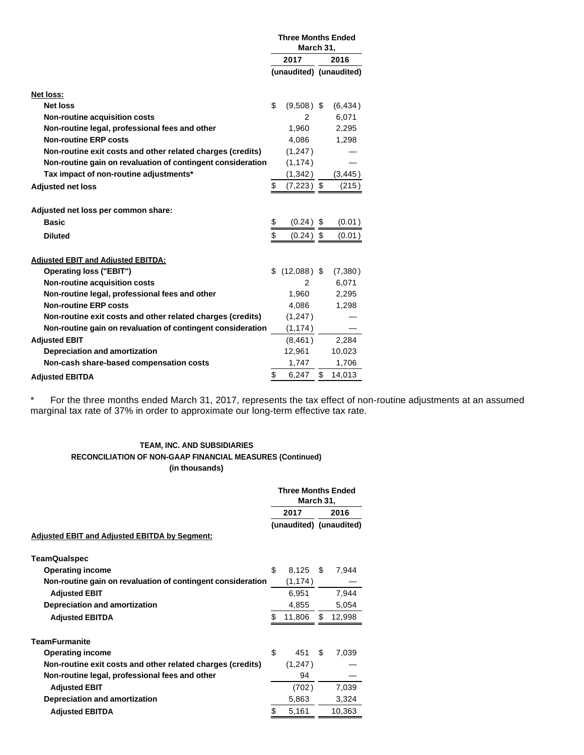|                                                             | <b>Three Months Ended</b><br>March 31, |                |                         |          |
|-------------------------------------------------------------|----------------------------------------|----------------|-------------------------|----------|
|                                                             |                                        | 2017           | 2016                    |          |
|                                                             |                                        |                | (unaudited) (unaudited) |          |
|                                                             |                                        |                |                         |          |
| <b>Net loss:</b>                                            |                                        |                |                         |          |
| <b>Net loss</b>                                             | \$                                     | $(9,508)$ \$   |                         | (6, 434) |
| Non-routine acquisition costs                               |                                        | 2              |                         | 6,071    |
| Non-routine legal, professional fees and other              |                                        | 1,960          |                         | 2,295    |
| <b>Non-routine ERP costs</b>                                |                                        | 4,086          |                         | 1,298    |
| Non-routine exit costs and other related charges (credits)  |                                        | (1,247)        |                         |          |
| Non-routine gain on revaluation of contingent consideration |                                        | (1, 174)       |                         |          |
| Tax impact of non-routine adjustments*                      |                                        | (1, 342)       |                         | (3, 445) |
| <b>Adjusted net loss</b>                                    | \$                                     | (7,223) \$     |                         | (215)    |
|                                                             |                                        |                |                         |          |
| Adjusted net loss per common share:                         |                                        |                |                         |          |
| <b>Basic</b>                                                | \$                                     | $(0.24)$ \$    |                         | (0.01)   |
| <b>Diluted</b>                                              | \$                                     | $(0.24)$ \$    |                         | (0.01)   |
|                                                             |                                        |                |                         |          |
| <b>Adjusted EBIT and Adjusted EBITDA:</b>                   |                                        |                |                         |          |
| Operating loss ("EBIT")                                     |                                        | $$(12,088)$ \$ |                         | (7,380)  |
| Non-routine acquisition costs                               |                                        | $\overline{2}$ |                         | 6,071    |
| Non-routine legal, professional fees and other              |                                        | 1,960          |                         | 2,295    |
| <b>Non-routine ERP costs</b>                                |                                        | 4,086          |                         | 1,298    |
| Non-routine exit costs and other related charges (credits)  |                                        | (1,247)        |                         |          |
| Non-routine gain on revaluation of contingent consideration |                                        | (1, 174)       |                         |          |
| <b>Adjusted EBIT</b>                                        |                                        | (8,461)        |                         | 2,284    |
| Depreciation and amortization                               |                                        | 12,961         |                         | 10,023   |
| Non-cash share-based compensation costs                     |                                        | 1,747          |                         | 1,706    |
| <b>Adiusted EBITDA</b>                                      | \$                                     | 6,247          | \$                      | 14,013   |

\* For the three months ended March 31, 2017, represents the tax effect of non-routine adjustments at an assumed marginal tax rate of 37% in order to approximate our long-term effective tax rate.

#### **TEAM, INC. AND SUBSIDIARIES RECONCILIATION OF NON-GAAP FINANCIAL MEASURES (Continued) (in thousands)**

|                                                             | <b>Three Months Ended</b><br>March 31, |                         |     |        |  |
|-------------------------------------------------------------|----------------------------------------|-------------------------|-----|--------|--|
|                                                             | 2017                                   |                         |     | 2016   |  |
|                                                             |                                        | (unaudited) (unaudited) |     |        |  |
| <b>Adjusted EBIT and Adjusted EBITDA by Segment:</b>        |                                        |                         |     |        |  |
| <b>TeamQualspec</b>                                         |                                        |                         |     |        |  |
| <b>Operating income</b>                                     | \$                                     | 8,125                   | \$. | 7,944  |  |
| Non-routine gain on revaluation of contingent consideration |                                        | (1, 174)                |     |        |  |
| <b>Adjusted EBIT</b>                                        |                                        | 6,951                   |     | 7,944  |  |
| Depreciation and amortization                               |                                        | 4,855                   |     | 5,054  |  |
| <b>Adjusted EBITDA</b>                                      | \$                                     | 11,806                  | S   | 12,998 |  |
| <b>TeamFurmanite</b>                                        |                                        |                         |     |        |  |
| <b>Operating income</b>                                     | \$                                     | 451                     | \$. | 7,039  |  |
| Non-routine exit costs and other related charges (credits)  |                                        | (1,247)                 |     |        |  |
| Non-routine legal, professional fees and other              |                                        | 94                      |     |        |  |
| <b>Adjusted EBIT</b>                                        |                                        | (702)                   |     | 7,039  |  |
| Depreciation and amortization                               |                                        | 5,863                   |     | 3,324  |  |
| <b>Adjusted EBITDA</b>                                      | \$                                     | 5,161                   |     | 10,363 |  |